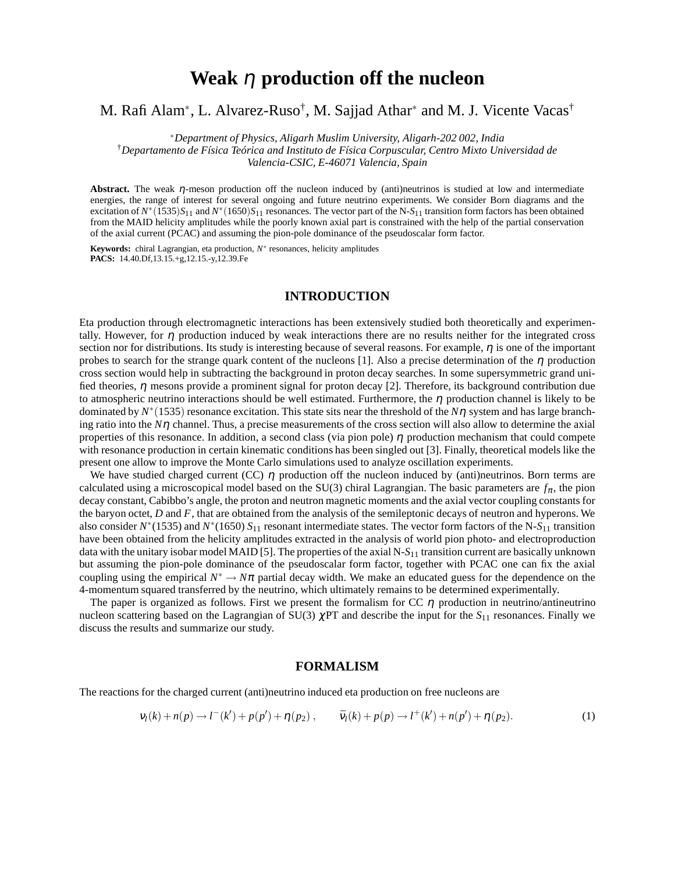# **Weak** η **production off the nucleon**

# M. Rafi Alam<sup>∗</sup>, L. Alvarez-Ruso<sup>†</sup>, M. Sajjad Athar<sup>∗</sup> and M. J. Vicente Vacas<sup>†</sup>

∗*Department of Physics, Aligarh Muslim University, Aligarh-202 002, India* †*Departamento de Física Teórica and Instituto de Física Corpuscular, Centro Mixto Universidad de Valencia-CSIC, E-46071 Valencia, Spain*

**Abstract.** The weak η-meson production off the nucleon induced by (anti)neutrinos is studied at low and intermediate energies, the range of interest for several ongoing and future neutrino experiments. We consider Born diagrams and the excitation of  $N^*(1535)S_{11}$  and  $N^*(1650)S_{11}$  resonances. The vector part of the N- $S_{11}$  transition form factors has been obtained from the MAID helicity amplitudes while the poorly known axial part is constrained with the help of the partial conservation of the axial current (PCAC) and assuming the pion-pole dominance of the pseudoscalar form factor.

**Keywords:** chiral Lagrangian, eta production, *N* ∗ resonances, helicity amplitudes **PACS:** 14.40.Df,13.15.+g,12.15.-y,12.39.Fe

## **INTRODUCTION**

Eta production through electromagnetic interactions has been extensively studied both theoretically and experimentally. However, for  $\eta$  production induced by weak interactions there are no results neither for the integrated cross section nor for distributions. Its study is interesting because of several reasons. For example,  $\eta$  is one of the important probes to search for the strange quark content of the nucleons [1]. Also a precise determination of the  $\eta$  production cross section would help in subtracting the background in proton decay searches. In some supersymmetric grand unified theories,  $\eta$  mesons provide a prominent signal for proton decay [2]. Therefore, its background contribution due to atmospheric neutrino interactions should be well estimated. Furthermore, the  $\eta$  production channel is likely to be dominated by  $N^*(1535)$  resonance excitation. This state sits near the threshold of the  $N\eta$  system and has large branching ratio into the  $N\eta$  channel. Thus, a precise measurements of the cross section will also allow to determine the axial properties of this resonance. In addition, a second class (via pion pole)  $\eta$  production mechanism that could compete with resonance production in certain kinematic conditions has been singled out [3]. Finally, theoretical models like the present one allow to improve the Monte Carlo simulations used to analyze oscillation experiments.

We have studied charged current (CC)  $\eta$  production off the nucleon induced by (anti)neutrinos. Born terms are calculated using a microscopical model based on the SU(3) chiral Lagrangian. The basic parameters are  $f_{\pi}$ , the pion decay constant, Cabibbo's angle, the proton and neutron magnetic moments and the axial vector coupling constants for the baryon octet, *D* and *F*, that are obtained from the analysis of the semileptonic decays of neutron and hyperons. We also consider *N* ∗ (1535) and *N* ∗ (1650) *S*<sup>11</sup> resonant intermediate states. The vector form factors of the N-*S*<sup>11</sup> transition have been obtained from the helicity amplitudes extracted in the analysis of world pion photo- and electroproduction data with the unitary isobar model MAID [5]. The properties of the axial N-S<sub>11</sub> transition current are basically unknown but assuming the pion-pole dominance of the pseudoscalar form factor, together with PCAC one can fix the axial coupling using the empirical  $N^* \to N\pi$  partial decay width. We make an educated guess for the dependence on the 4-momentum squared transferred by the neutrino, which ultimately remains to be determined experimentally.

The paper is organized as follows. First we present the formalism for  $CC \eta$  production in neutrino/antineutrino nucleon scattering based on the Lagrangian of SU(3) <sup>χ</sup>PT and describe the input for the *S*<sup>11</sup> resonances. Finally we discuss the results and summarize our study.

#### **FORMALISM**

The reactions for the charged current (anti)neutrino induced eta production on free nucleons are

$$
v_l(k) + n(p) \to l^-(k') + p(p') + \eta(p_2) , \qquad \bar{v}_l(k) + p(p) \to l^+(k') + n(p') + \eta(p_2).
$$
 (1)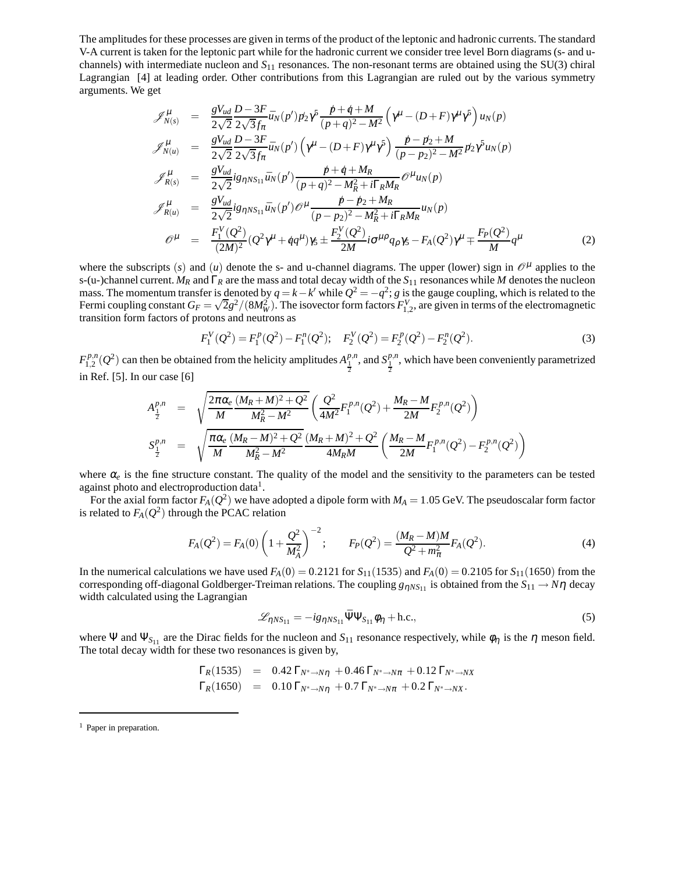The amplitudes for these processes are given in terms of the product of the leptonic and hadronic currents. The standard V-A current is taken for the leptonic part while for the hadronic current we consider tree level Born diagrams (s- and uchannels) with intermediate nucleon and *S*<sup>11</sup> resonances. The non-resonant terms are obtained using the SU(3) chiral Lagrangian [4] at leading order. Other contributions from this Lagrangian are ruled out by the various symmetry arguments. We get

$$
\mathcal{J}_{N(s)}^{\mu} = \frac{gV_{ud}}{2\sqrt{2}} \frac{D-3F}{2\sqrt{3}f_{\pi}} \bar{u}_{N}(p') p_{2} \gamma^{5} \frac{p+q+M}{(p+q)^{2}-M^{2}} \left(\gamma^{\mu} - (D+F)\gamma^{\mu} \gamma^{5}\right) u_{N}(p) \n\mathcal{J}_{N(u)}^{\mu} = \frac{gV_{ud}}{2\sqrt{2}} \frac{D-3F}{2\sqrt{3}f_{\pi}} \bar{u}_{N}(p') \left(\gamma^{\mu} - (D+F)\gamma^{\mu} \gamma^{5}\right) \frac{p-p_{2}+M}{(p-p_{2})^{2}-M^{2}} p_{2} \gamma^{5} u_{N}(p) \n\mathcal{J}_{R(s)}^{\mu} = \frac{gV_{ud}}{2\sqrt{2}} i g_{\eta N S_{11}} \bar{u}_{N}(p') \frac{p+q+M_{R}}{(p+q)^{2}-M_{R}^{2}+i\Gamma_{R}M_{R}} \mathcal{O}^{\mu} u_{N}(p) \n\mathcal{J}_{R(u)}^{\mu} = \frac{gV_{ud}}{2\sqrt{2}} i g_{\eta N S_{11}} \bar{u}_{N}(p') \mathcal{O}^{\mu} \frac{p-p_{2}+M_{R}}{(p-p_{2})^{2}-M_{R}^{2}+i\Gamma_{R}M_{R}} u_{N}(p) \n\mathcal{O}^{\mu} = \frac{F_{1}^{V}(Q^{2})}{(2M)^{2}} (Q^{2}\gamma^{\mu}+qq^{\mu}) \gamma_{5} \pm \frac{F_{2}^{V}(Q^{2})}{2M} i \sigma^{\mu \rho} q_{\rho} \gamma_{5} - F_{A}(Q^{2}) \gamma^{\mu} \mp \frac{F_{P}(Q^{2})}{M} q^{\mu}
$$
\n(2)

where the subscripts (s) and (u) denote the s- and u-channel diagrams. The upper (lower) sign in  $\mathcal{O}^{\mu}$  applies to the s-(u-)channel current. *M<sup>R</sup>* and Γ*<sup>R</sup>* are the mass and total decay width of the *S*<sup>11</sup> resonances while *M* denotes the nucleon mass. The momentum transfer is denoted by  $q = k - k'$  while  $Q^2 = -q^2$ ; *g* is the gauge coupling, which is related to the Fermi coupling constant  $G_F = \sqrt{2g^2/(8M_W^2)}$ . The isovector form factors  $F_{1,2}^V$ , are given in terms of the electromagnetic transition form factors of protons and neutrons as

$$
F_1^V(Q^2) = F_1^P(Q^2) - F_1^P(Q^2); \quad F_2^V(Q^2) = F_2^P(Q^2) - F_2^P(Q^2).
$$
\n(3)

 $F_1^{p,n}$  $\frac{1}{2}P_{1,2}^{p,n}(Q^2)$  can then be obtained from the helicity amplitudes  $A_1^{p,n}$ , and  $S_2^{p,n}$ , which have been conveniently parametrized in Ref. [5]. In our case [6]

$$
A_{\frac{1}{2}}^{p,n} = \sqrt{\frac{2\pi\alpha_e}{M} \frac{(M_R + M)^2 + Q^2}{M_R^2 - M^2}} \left( \frac{Q^2}{4M^2} F_1^{p,n}(Q^2) + \frac{M_R - M}{2M} F_2^{p,n}(Q^2) \right)
$$
  

$$
S_{\frac{1}{2}}^{p,n} = \sqrt{\frac{\pi\alpha_e}{M} \frac{(M_R - M)^2 + Q^2}{M_R^2 - M^2}} \frac{(M_R + M)^2 + Q^2}{4M_RM} \left( \frac{M_R - M}{2M} F_1^{p,n}(Q^2) - F_2^{p,n}(Q^2) \right)
$$

where  $\alpha_e$  is the fine structure constant. The quality of the model and the sensitivity to the parameters can be tested against photo and electroproduction data<sup>1</sup>.

For the axial form factor  $F_A(Q^2)$  we have adopted a dipole form with  $M_A=1.05$  GeV. The pseudoscalar form factor is related to  $F_A(Q^2)$  through the PCAC relation

$$
F_A(Q^2) = F_A(0) \left( 1 + \frac{Q^2}{M_A^2} \right)^{-2}; \qquad F_P(Q^2) = \frac{(M_R - M)M}{Q^2 + m_\pi^2} F_A(Q^2). \tag{4}
$$

In the numerical calculations we have used  $F_A(0) = 0.2121$  for  $S_{11}(1535)$  and  $F_A(0) = 0.2105$  for  $S_{11}(1650)$  from the corresponding off-diagonal Goldberger-Treiman relations. The coupling  $g_{\eta N S_{11}}$  is obtained from the  $S_{11} \to N\eta$  decay width calculated using the Lagrangian

$$
\mathcal{L}_{\eta NS_{11}} = -ig_{\eta NS_{11}} \bar{\Psi} \Psi_{S_{11}} \phi_{\eta} + \text{h.c.},\tag{5}
$$

where Ψ and Ψ<sub>S<sub>11</sub></sub> are the Dirac fields for the nucleon and S<sub>11</sub> resonance respectively, while  $\phi_\eta$  is the  $\eta$  meson field. The total decay width for these two resonances is given by,

$$
\Gamma_R(1535) = 0.42 \Gamma_{N^* \to N\eta} + 0.46 \Gamma_{N^* \to N\pi} + 0.12 \Gamma_{N^* \to NX}
$$
  
\n
$$
\Gamma_R(1650) = 0.10 \Gamma_{N^* \to N\eta} + 0.7 \Gamma_{N^* \to N\pi} + 0.2 \Gamma_{N^* \to NX}.
$$

<sup>&</sup>lt;sup>1</sup> Paper in preparation.